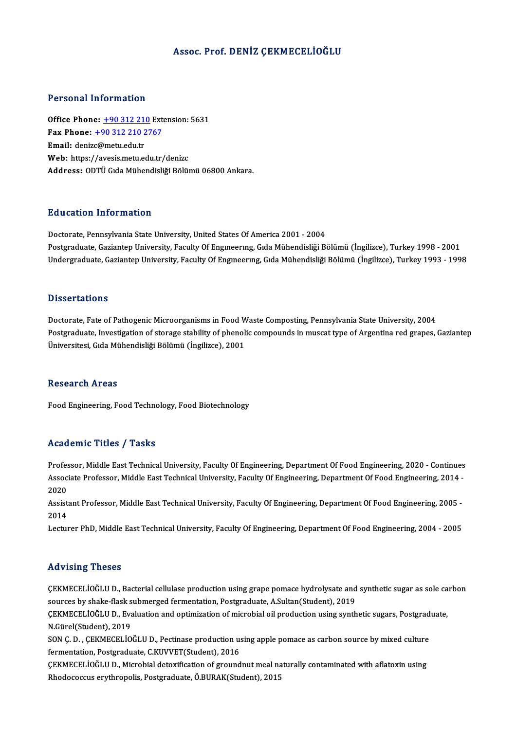### Assoc. Prof. DENİZ ÇEKMECELİOĞLU

### Personal Information

Office Phone: +90 312 210 Extension: 5631 Fax Phone: <u>+90 312 210</u> External<br>Fax Phone: <u>+90 312 210 2767</u><br>Fmail: denize@matu.edu.tr Office Phone: <u>+90 312 21</u><br>Fax Phone: <u>+90 312 210 2</u><br>Email: deniz[c@metu.edu.tr](tel:+90 312 210 2767) Fax Phone: <u>+90 312 210 2767</u><br>Email: denizc@metu.edu.tr<br>Web: https://avesis.metu.edu.tr/denizc<br>Address: ODTÜ C:de Mühendisliği Pölü: Email: denizc@metu.edu.tr<br>Web: https://avesis.metu.edu.tr/denizc<br>Address: ODTÜ Gıda Mühendisliği Bölümü 06800 Ankara.

### Education Information

Doctorate, Pennsylvania State University, United States Of America 2001 - 2004 Postgraduate, Gaziantep University, Faculty Of Engineering, Gida Mühendisliği Bölümü (İngilizce), Turkey 1998 - 2001 Undergraduate, Gaziantep University, Faculty Of Engineering, Gida Mühendisliği Bölümü (İngilizce), Turkey 1993 - 1998

### **Dissertations**

Dissertations<br>Doctorate, Fate of Pathogenic Microorganisms in Food Waste Composting, Pennsylvania State University, 2004<br>Postaneduate Investigation of stenese stability of phonolis compounds in musest time of Arsontine red Postgraduate, Investigation of storage stability of phenolic compounds in muscat type of Argentina red grapes, Gaziantep<br>Üniversitesi, Gıda Mühendisliği Bölümü (İngilizce), 2001 Doctorate, Fate of Pathogenic Microorganisms in Food W<br>Postgraduate, Investigation of storage stability of phenol<br>Üniversitesi, Gıda Mühendisliği Bölümü (İngilizce), 2001

### **Research Areas**

Food Engineering, Food Technology, Food Biotechnology

### Academic Titles / Tasks

Professor, Middle East Technical University, Faculty Of Engineering, Department Of Food Engineering, 2020 - Continues AssociateMic Traces / Tassis<br>Professor, Middle East Technical University, Faculty Of Engineering, Department Of Food Engineering, 2020 - Continues<br>Associate Professor, Middle East Technical University, Faculty Of Engineeri Profes<br>Assoc<br>2020<br>Assist Associate Professor, Middle East Technical University, Faculty Of Engineering, Department Of Food Engineering, 2014<br>2020<br>Assistant Professor, Middle East Technical University, Faculty Of Engineering, Department Of Food Eng

2020<br>Assistant Professor, Middle East Technical University, Faculty Of Engineering, Department Of Food Engineering, 2005 -<br>2014

Lecturer PhD, Middle East Technical University, Faculty Of Engineering, Department Of Food Engineering, 2004 - 2005

### Advising Theses

Advising Theses<br>ÇEKMECELİOĞLU D., Bacterial cellulase production using grape pomace hydrolysate and synthetic sugar as sole carbon<br>sources by shaka flask submerged formantation. Bestereduste, A Sultan(Student), 2019. stavionig i nooco<br>CEKMECELİOĞLU D., Bacterial cellulase production using grape pomace hydrolysate and<br>sources by shake-flask submerged fermentation, Postgraduate, A.Sultan(Student), 2019<br>CEKMECELİOĞLU D. Evaluation and ant ÇEKMECELİOĞLU D., Bacterial cellulase production using grape pomace hydrolysate and synthetic sugar as sole ca<br>sources by shake-flask submerged fermentation, Postgraduate, A.Sultan(Student), 2019<br>ÇEKMECELİOĞLU D., Evaluati

sources by shake-flask s<br>ÇEKMECELİOĞLU D., Eva<br>N.Gürel(Student), 2019<br>SON C. D., CEKMECELİO ÇEKMECELİOĞLU D., Evaluation and optimization of microbial oil production using synthetic sugars, Postgrad<br>N.Gürel(Student), 2019<br>SON Ç. D. , ÇEKMECELİOĞLU D., Pectinase production using apple pomace as carbon source by mi

N.Gürel(Student), 2019<br>SON Ç. D. , ÇEKMECELİOĞLU D., Pectinase production u:<br>fermentation, Postgraduate, C.KUVVET(Student), 2016<br>CEKMECELİOĞLU D. Miarebial detevification ef ground SON Ç. D. , ÇEKMECELİOĞLU D., Pectinase production using apple pomace as carbon source by mixed culture<br>fermentation, Postgraduate, C.KUVVET(Student), 2016<br>ÇEKMECELİOĞLU D., Microbial detoxification of groundnut meal natur

fermentation, Postgraduate, C.KUVVET(Student), 2016<br>ÇEKMECELİOĞLU D., Microbial detoxification of groundnut meal naturally contaminated with aflatoxin using<br>Rhodococcus erythropolis, Postgraduate, Ö.BURAK(Student), 2015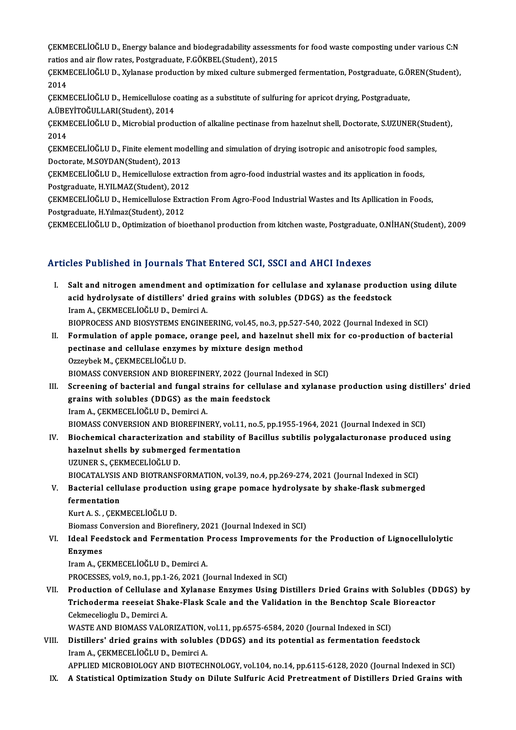ÇEKMECELİOĞLU D., Energy balance and biodegradability assessments for food waste composting under various C:N<br>ratios and air flow rates. Postsreduste E.Cöveru (Student), 2015 CEKMECELİOĞLU D., Energy balance and biodegradability assessm<br>ratios and air flow rates, Postgraduate, F.GÖKBEL(Student), 2015<br>CEKMECELİOĞLU D. Yrlanase produstion by mivod sulture subme ÇEKMECELİOĞLU D., Energy balance and biodegradability assessments for food waste composting under various C:N<br>ratios and air flow rates, Postgraduate, F.GÖKBEL(Student), 2015<br>ÇEKMECELİOĞLU D., Xylanase production by mixed

ratios and air flow rates, Postgraduate, F.GÖKBEL(Student), 2015<br>ÇEKMECELİOĞLU D., Xylanase production by mixed culture submerged fermentation, Postgraduate, G.ÖREN(Student),<br>2014 ÇEKMECELİOĞLU D., Xylanase production by mixed culture submerged fermentation, Postgraduate, G.Ö<br>2014<br>ÇEKMECELİOĞLU D., Hemicellulose coating as a substitute of sulfuring for apricot drying, Postgraduate,<br>A ÜREVİTOĞLU LARI

2014<br>ÇEKMECELİOĞLU D., Hemicellulose c<br>A.ÜBEYİTOĞULLARI(Student), 2014<br>CEKMECELİOĞLU D. Misrobial prodi ÇEKMECELİOĞLU D., Hemicellulose coating as a substitute of sulfuring for apricot drying, Postgraduate,<br>A.ÜBEYİTOĞULLARI(Student), 2014<br>ÇEKMECELİOĞLU D., Microbial production of alkaline pectinase from hazelnut shell, Docto

A.ÜBE<br>ÇEKM<br>2014<br>CEKM ÇEKMECELİOĞLU D., Microbial production of alkaline pectinase from hazelnut shell, Doctorate, S.UZUNER(Stude<br>2014<br>ÇEKMECELİOĞLU D., Finite element modelling and simulation of drying isotropic and anisotropic food samples,<br>D

2014<br>ÇEKMECELİOĞLU D., Finite element mo<br>Doctorate, M.SOYDAN(Student), 2013<br>CEKMECELİOĞLU D., Hamicellulase evt ÇEKMECELİOĞLU D., Finite element modelling and simulation of drying isotropic and anisotropic food samp<br>Doctorate, M.SOYDAN(Student), 2013<br>ÇEKMECELİOĞLU D., Hemicellulose extraction from agro-food industrial wastes and its

Doctorate, M.SOYDAN(Student), 2013<br>ÇEKMECELİOĞLU D., Hemicellulose extraction from agro-food industrial wastes and its application in foods,<br>Postgraduate, H.YILMAZ(Student), 2012

ÇEKMECELİOĞLU D., Hemicellulose Extraction From Agro-Food Industrial Wastes and Its Apllication in Foods, Postgraduate, H.Yılmaz(Student), 2012

ÇEKMECELİOĞLUD.,Optimizationof bioethanolproductionfromkitchenwaste,Postgraduate,O.NİHAN(Student),2009

### Articles Published in Journals That Entered SCI, SSCI and AHCI Indexes

- I. Salt and nitrogen amendment and optimization for cellulase and xylanase production using dilute acid hydrolysate of distillers' dried grains with solubles and xylanase product<br>acid hydrolysate of distillers' dried grains with solubles (DDGS) as the feedstock<br>Iram A. GEKMECEL JOČLU D. Domirci A. Salt and nitrogen amendment and c<br>acid hydrolysate of distillers' dried<br>Iram A., ÇEKMECELİOĞLU D., Demirci A.<br>PIOPPOCESS AND PIOSYSTEMS ENCINE Iram A., ÇEKMECELİOĞLU D., Demirci A.<br>BIOPROCESS AND BIOSYSTEMS ENGINEERING, vol.45, no.3, pp.527-540, 2022 (Journal Indexed in SCI) Iram A., ÇEKMECELİOĞLU D., Demirci A.<br>BIOPROCESS AND BIOSYSTEMS ENGINEERING, vol.45, no.3, pp.527-540, 2022 (Journal Indexed in SCI)<br>II. Formulation of apple pomace, orange peel, and hazelnut shell mix for co-production of
- BIOPROCESS AND BIOSYSTEMS ENGINEERING, vol.45, no.3, pp.527-<br>Formulation of apple pomace, orange peel, and hazelnut sh<br>pectinase and cellulase enzymes by mixture design method<br>Orraybel: M. CEKMECELIOČLUD Formulation of apple pomace,<br>pectinase and cellulase enzym<br>Ozzeybek M., ÇEKMECELİOĞLU D.<br>PIOMASS CONVERSION AND PIOR pectinase and cellulase enzymes by mixture design method<br>Ozzeybek M., ÇEKMECELİOĞLU D.<br>BIOMASS CONVERSION AND BIOREFINERY, 2022 (Journal Indexed in SCI)<br>Sareoning of besterial and fungal strains for sellulase and vulanes
- Ozzeybek M., ÇEKMECELİOĞLU D.<br>BIOMASS CONVERSION AND BIOREFINERY, 2022 (Journal Indexed in SCI)<br>III. Screening of bacterial and fungal strains for cellulase and xylanase production using distillers' dried<br>grains with solub BIOMASS CONVERSION AND BIOREFINERY, 2022 (Journal<br>Screening of bacterial and fungal strains for cellula<br>grains with solubles (DDGS) as the main feedstock<br>Iram A. GEYMECELIOČLUD, Domirgi A. IramA.,ÇEKMECELİOĞLUD.,DemirciA. grains with solubles (DDGS) as the main feedstock<br>Iram A., ÇEKMECELİOĞLU D., Demirci A.<br>BIOMASS CONVERSION AND BIOREFINERY, vol.11, no.5, pp.1955-1964, 2021 (Journal Indexed in SCI)<br>Bioshomisel sharostarization and stabili
- IV. Biochemical characterization and stability of Bacillus subtilis polygalacturonase produced using<br>hazelnut shells by submerged fermentation BIOMASS CONVERSION AND BIOREFINERY, vol.11<br>Biochemical characterization and stability of<br>hazelnut shells by submerged fermentation<br>UZUNER S. CEEMECELIOČLU D UZUNERS.,ÇEKMECELİOĞLUD. hazelnut shells by submerged fermentation<br>UZUNER S., ÇEKMECELİOĞLU D.<br>BIOCATALYSIS AND BIOTRANSFORMATION, vol.39, no.4, pp.269-274, 2021 (Journal Indexed in SCI)<br>Bestanial sellulase produstion using grape pemase bydrolysat UZUNER S., ÇEKMECELİOĞLU D.<br>BIOCATALYSIS AND BIOTRANSFORMATION, vol.39, no.4, pp.269-274, 2021 (Journal Indexed in SCI)<br>V. Bacterial cellulase production using grape pomace hydrolysate by shake-flask submerged<br>formenta

# **BIOCATALYSIS**<br>Bacterial cellu<br>fermentation<br>Kurt A.S. CEKN V. Bacterial cellulase production using grape pomace hydrolysate by shake-flask submerged<br>fermentation<br>Kurt A. S. , CEKMECELİOĞLU D. fe<mark>rmentation</mark><br>Kurt A. S. , ÇEKMECELİOĞLU D.<br>Biomass Conversion and Biorefinery, 2021 (Journal Indexed in SCI)<br>Ideal Ecodstock and Eormentation Process Improvements fo

# Kurt A. S. , ÇEKMECELİOĞLU D.<br>Biomass Conversion and Biorefinery, 2021 (Journal Indexed in SCI)<br>VI. Ideal Feedstock and Fermentation Process Improvements for the Production of Lignocellulolytic<br>Fraumes Biomass C<br>Ideal Fee<br>Enzymes<br>Iram A. CI Ideal Feedstock and Fermentation I<br>Enzymes<br>Iram A., ÇEKMECELİOĞLU D., Demirci A.<br>PROCESSES .val 9. no.1. nn.1.26.2021.(I

Enzymes<br>Iram A., ÇEKMECELİOĞLU D., Demirci A.<br>PROCESSES, vol.9, no.1, pp.1-26, 2021 (Journal Indexed in SCI)

Iram A., ÇEKMECELİOĞLU D., Demirci A.<br>PROCESSES, vol.9, no.1, pp.1-26, 2021 (Journal Indexed in SCI)<br>VII. Production of Cellulase and Xylanase Enzymes Using Distillers Dried Grains with Solubles (DDGS) by<br>Trichodorma reses PROCESSES, vol.9, no.1, pp.1-26, 2021 (Journal Indexed in SCI)<br>Production of Cellulase and Xylanase Enzymes Using Distillers Dried Grains with Solubles (D<br>Trichoderma reeseiat Shake-Flask Scale and the Validation in the Be Production of Cellulase a<br>Trichoderma reeseiat Sha<br>Cekmecelioglu D., Demirci A.<br>WASTE AND PIOMASS VALO Trichoderma reeseiat Shake-Flask Scale and the Validation in the Benchtop Scale Bioreactor<br>Cekmecelioglu D., Demirci A.<br>WASTE AND BIOMASS VALORIZATION, vol.11, pp.6575-6584, 2020 (Journal Indexed in SCI)

Cekmecelioglu D., Demirci A.<br>WASTE AND BIOMASS VALORIZATION, vol.11, pp.6575-6584, 2020 (Journal Indexed in SCI)<br>VIII. Distillers' dried grains with solubles (DDGS) and its potential as fermentation feedstock<br>Irom A. CEKME WASTE AND BIOMASS VALORIZATION,<br>Distillers' dried grains with soluble<br>Iram A., ÇEKMECELİOĞLU D., Demirci A.<br>APPLIED MICROPIOLOCY AND BIOTECH Distillers' dried grains with solubles (DDGS) and its potential as fermentation feedstock<br>Iram A., ÇEKMECELİOĞLU D., Demirci A.<br>APPLIED MICROBIOLOGY AND BIOTECHNOLOGY, vol.104, no.14, pp.6115-6128, 2020 (Journal Indexed in Iram A., ÇEKMECELİOĞLU D., Demirci A.<br>APPLIED MICROBIOLOGY AND BIOTECHNOLOGY, vol.104, no.14, pp.6115-6128, 2020 (Journal Indexed in SCI)<br>IX. A Statistical Optimization Study on Dilute Sulfuric Acid Pretreatment of Dis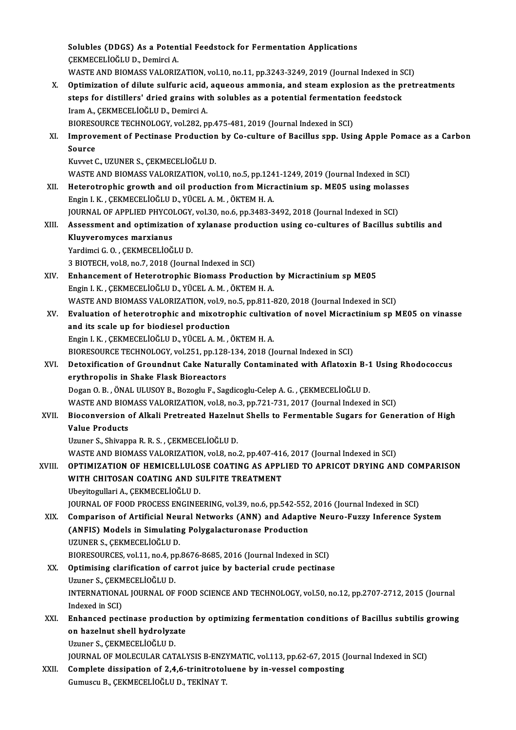Solubles (DDGS) As a Potential Feedstock for Fermentation Applications Solubles (DDGS) As a Poten<br>ÇEKMECELİOĞLUD., Demirci A.<br>WASTE AND PIOMASS VALOPIZ Solubles (DDGS) As a Potential Feedstock for Fermentation Applications<br>ÇEKMECELİOĞLU D., Demirci A.<br>WASTE AND BIOMASS VALORIZATION, vol.10, no.11, pp.3243-3249, 2019 (Journal Indexed in SCI)<br>Ontimization of dilute sulfania CEKMECELIOĞLU D., Demirci A.<br>WASTE AND BIOMASS VALORIZATION, vol.10, no.11, pp.3243-3249, 2019 (Journal Indexed in SCI)<br>X. Optimization of dilute sulfuric acid, aqueous ammonia, and steam explosion as the pretreatments<br>ste WASTE AND BIOMASS VALORIZATION, vol.10, no.11, pp.3243-3249, 2019 (Journal Indexed in SCI)<br>Optimization of dilute sulfuric acid, aqueous ammonia, and steam explosion as the pret<br>steps for distillers' dried grains with solu Optimization of dilute sulfuric acid,<br>steps for distillers' dried grains with the A., ÇEKMECELİOĞLU D., Demirci A.<br>PIOPESOUPCE TECHNOLOCY vol 292 n steps for distillers' dried grains with solubles as a potential fermentation feedstock XI. Improvement of Pectinase Production by Co-culture of Bacillus spp. Using Apple Pomace as a Carbon<br>Source BIORESOURCE TECHNOLOGY, vol.282, pp.475-481, 2019 (Journal Indexed in SCI) KuvvetC.,UZUNERS.,ÇEKMECELİOĞLUD. WASTE AND BIOMASS VALORIZATION, vol.10, no.5, pp.1241-1249, 2019 (Journal Indexed in SCI) XII. Heterotrophic growth and oil production from Micractinium sp. ME05 using molasses EnginI.K. ,ÇEKMECELİOĞLUD.,YÜCELA.M. ,ÖKTEMH.A. Heterotrophic growth and oil production from Micractinium sp. ME05 using molass<br>Engin I. K., ÇEKMECELİOĞLU D., YÜCEL A. M., ÖKTEM H. A.<br>JOURNAL OF APPLIED PHYCOLOGY, vol.30, no.6, pp.3483-3492, 2018 (Journal Indexed in SCI Engin I. K., ÇEKMECELİOĞLU D., YÜCEL A. M., ÖKTEM H. A.<br>JOURNAL OF APPLIED PHYCOLOGY, vol.30, no.6, pp.3483-3492, 2018 (Journal Indexed in SCI)<br>XIII. Assessment and optimization of xylanase production using co-cultures **JOURNAL OF APPLIED PHYCO**<br>Assessment and optimizati<br>Kluyveromyces marxianus<br><sup>Vondimei C.O. CEKMECEL</sub>IOČ</sup> Assessment and optimization of<br>Kluyveromyces marxianus<br>Yardimci G. O. , ÇEKMECELİOĞLU D.<br>2 BIOTECH vol 8, no 7, 2018 (Jaunn Kluyveromyces marxianus<br>Yardimci G. O. , ÇEKMECELİOĞLU D.<br>3 BIOTECH, vol.8, no.7, 2018 (Journal Indexed in SCI) XIV. Enhancement of Heterotrophic Biomass Production byMicractiniumsp ME05 EnginI.K. ,ÇEKMECELİOĞLUD.,YÜCELA.M. ,ÖKTEMH.A. Enhancement of Heterotrophic Biomass Production by Micractinium sp ME05<br>Engin I. K. , ÇEKMECELİOĞLU D., YÜCEL A. M. , ÖKTEM H. A.<br>WASTE AND BIOMASS VALORIZATION, vol.9, no.5, pp.811-820, 2018 (Journal Indexed in SCI)<br>Evalu Engin I. K., ÇEKMECELİOĞLU D., YÜCEL A. M., ÖKTEM H. A.<br>WASTE AND BIOMASS VALORIZATION, vol.9, no.5, pp.811-820, 2018 (Journal Indexed in SCI)<br>XV. Evaluation of heterotrophic and mixotrophic cultivation of novel Micrac WASTE AND BIOMASS VALORIZATION, vol.9, n<br>Evaluation of heterotrophic and mixotrop<br>and its scale up for biodiesel production<br>Engin LK, CEKMECELIOČLUD, VÜCELA M. 6 Evaluation of heterotrophic and mixotrophic cultiva<br>and its scale up for biodiesel production<br>Engin I. K. , ÇEKMECELİOĞLU D., YÜCEL A. M. , ÖKTEM H. A.<br>PIOPESQURCE TECUNOLOCY vol 251. pp.129.124.2019 (L and its scale up for biodiesel production<br>Engin I. K., ÇEKMECELİOĞLU D., YÜCEL A. M., ÖKTEM H. A.<br>BIORESOURCE TECHNOLOGY, vol.251, pp.128-134, 2018 (Journal Indexed in SCI)<br>Deterification of Croundaut Celte Naturally Conte Engin I. K., ÇEKMECELİOĞLU D., YÜCEL A. M., ÖKTEM H. A.<br>BIORESOURCE TECHNOLOGY, vol.251, pp.128-134, 2018 (Journal Indexed in SCI)<br>XVI. Detoxification of Groundnut Cake Naturally Contaminated with Aflatoxin B-1 Using Rhodo BIORESOURCE TECHNOLOGY, vol.251, pp.128<br>Detoxification of Groundnut Cake Natura<br>erythropolis in Shake Flask Bioreactors<br>Dogan O. B., ÖNAL ULUSOV B. Bogoglu E. Sag Detoxification of Groundnut Cake Naturally Contaminated with Aflatoxin B-1<br>erythropolis in Shake Flask Bioreactors<br>Dogan O.B., ÖNAL ULUSOY B., Bozoglu F., Sagdicoglu-Celep A. G. , ÇEKMECELİOĞLU D.<br>WASTE AND BIOMASS VALOBIZ erythropolis in Shake Flask Bioreactors<br>Dogan O. B. , ÖNAL ULUSOY B., Bozoglu F., Sagdicoglu-Celep A. G. , ÇEKMECELİOĞLU D.<br>WASTE AND BIOMASS VALORIZATION, vol.8, no.3, pp.721-731, 2017 (Journal Indexed in SCI)<br>Bioganyargi Dogan O. B., ÖNAL ULUSOY B., Bozoglu F., Sagdicoglu-Celep A. G., ÇEKMECELİOĞLU D.<br>WASTE AND BIOMASS VALORIZATION, vol.8, no.3, pp.721-731, 2017 (Journal Indexed in SCI)<br>XVII. Bioconversion of Alkali Pretreated Hazelnut WASTE AND BION<br>Bioconversion<br>Value Products<br><sup>Haunor S.</sup> Shivan Bioconversion of Alkali Pretreated Hazelnu<br>Value Products<br>Uzuner S., Shivappa R. R. S. , ÇEKMECELİOĞLU D.<br>WASTE AND PIOMASS VALOPIZATION .vol 8-no. Value Products<br>Uzuner S., Shivappa R. R. S. , ÇEKMECELİOĞLU D.<br>WASTE AND BIOMASS VALORIZATION, vol.8, no.2, pp.407-416, 2017 (Journal Indexed in SCI)<br>OPTIMIZATION OF UEMICELLUI OSE COATING AS APPLIED TO APPICOT PRYING AN Uzuner S., Shivappa R. R. S. , ÇEKMECELİOĞLU D.<br>WASTE AND BIOMASS VALORIZATION, vol.8, no.2, pp.407-416, 2017 (Journal Indexed in SCI)<br>XVIII. OPTIMIZATION OF HEMICELLULOSE COATING AS APPLIED TO APRICOT DRYING AND COMPA WASTE AND BIOMASS VALORIZATION, vol.8, no.2, pp.407-414<br>OPTIMIZATION OF HEMICELLULOSE COATING AS APPL<br>WITH CHITOSAN COATING AND SULFITE TREATMENT<br>Ubevite willow A. CEKMECELIOČLU D WITH CHITOSAN COATING AND SULFITE TREATMENT<br>Ubeyitogullari A., ÇEKMECELİOĞLU D. JOURNAL OF FOOD PROCESS ENGINEERING, vol.39, no.6, pp.542-552, 2016 (Journal Indexed in SCI) Ubeyitogullari A., ÇEKMECELİOĞLU D.<br>JOURNAL OF FOOD PROCESS ENGINEERING, vol.39, no.6, pp.542-552, 2016 (Journal Indexed in SCI)<br>XIX. Comparison of Artificial Neural Networks (ANN) and Adaptive Neuro-Fuzzy Inference Sy JOURNAL OF FOOD PROCESS ENGINEERING, vol.39, no.6, pp.542-552<br>Comparison of Artificial Neural Networks (ANN) and Adaptiv<br>(ANFIS) Models in Simulating Polygalacturonase Production<br>UZUNER S. CEKMECELIOČUJ D Comparison of Artificial Neu<br>(ANFIS) Models in Simulatin<br>UZUNER S., ÇEKMECELİOĞLU D.<br>PIOPESOUPCES vol 11 no 4 nn (ANFIS) Models in Simulating Polygalacturonase Production<br>UZUNER S., ÇEKMECELİOĞLU D.<br>BIORESOURCES, vol.11, no.4, pp.8676-8685, 2016 (Journal Indexed in SCI)<br>Ontimising elerification of carret iuise by basterial suude pest UZUNER S., ÇEKMECELİOĞLU D.<br>BIORESOURCES, vol.11, no.4, pp.8676-8685, 2016 (Journal Indexed in SCI)<br>XX. Optimising clarification of carrot juice by bacterial crude pectinase BIORESOURCES, vol.11, no.4, p<br>Optimising clarification of c<br>Uzuner S., ÇEKMECELİOĞLU D.<br>INTERNATIONAL JOURNAL OF INTERNATIONAL JOURNAL OF FOOD SCIENCE AND TECHNOLOGY, vol.50, no.12, pp.2707-2712, 2015 (Journal Indexed in SCI) Uzuner S., CEKMECELIOĞLU D. INTERNATIONAL JOURNAL OF FOOD SCIENCE AND TECHNOLOGY, vol.50, no.12, pp.2707-2712, 2015 (Journal<br>Indexed in SCI)<br>XXI. Enhanced pectinase production by optimizing fermentation conditions of Bacillus subtilis growing<br>on hare Indexed in SCI)<br>Enhanced pectinase productio<br>on hazelnut shell hydrolyzate<br>Uruner S. GEKMEGEI jOČI U D Enhanced pectinase produc<br>on hazelnut shell hydrolyza<br>Uzuner S., ÇEKMECELİOĞLU D.<br>JOUPMAL OF MOLECULAR CAT on hazelnut shell hydrolyzate<br>Uzuner S., ÇEKMECELİOĞLU D.<br>JOURNAL OF MOLECULAR CATALYSIS B-ENZYMATIC, vol.113, pp.62-67, 2015 (Journal Indexed in SCI)<br>Complete dissipation of 3.4 6 tripitratelyane by in yeasel somposting. Uzuner S., ÇEKMECELİOĞLU D.<br>JOURNAL OF MOLECULAR CATALYSIS B-ENZYMATIC, vol.113, pp.62-67, 2015 (<br>XXII. Complete dissipation of 2,4,6-trinitrotoluene by in-vessel composting<br>Gumuscu B., ÇEKMECELİOĞLU D., TEKİNAY T. JOURNAL OF MOLECULAR CATALYSIS B-ENZ'<br><mark>Complete dissipation of 2,4,6-trinitrotol</mark><br>Gumuscu B., ÇEKMECELİOĞLU D., TEKİNAY T.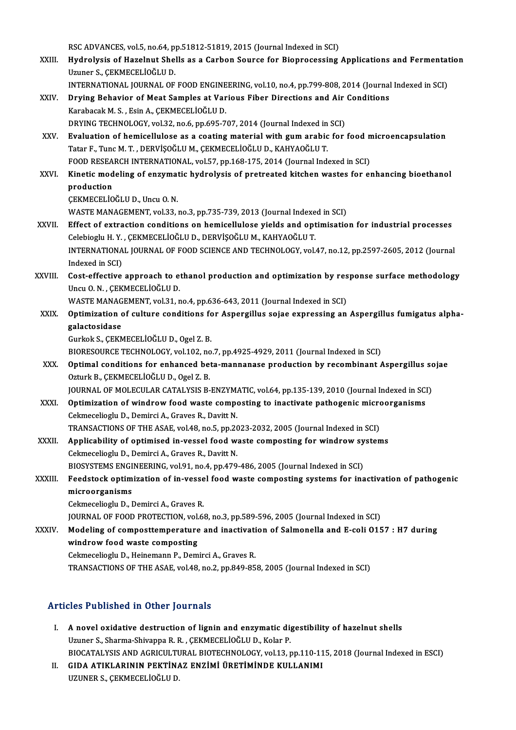RSC ADVANCES, vol.5, no.64, pp.51812-51819, 2015 (Journal Indexed in SCI)<br>Hydrolygis of Harolyut Shells as a Carbon Source for Bionroesesing

- RSC ADVANCES, vol.5, no.64, pp.51812-51819, 2015 (Journal Indexed in SCI)<br>XXIII. Hydrolysis of Hazelnut Shells as a Carbon Source for Bioprocessing Applications and Fermentation RSC ADVANCES, vol.5, no.64, p<br>Hydrolysis of Hazelnut Shel<br>Uzuner S., ÇEKMECELİOĞLU D.<br>INTERNATIONAL JOURNAL OF Hydrolysis of Hazelnut Shells as a Carbon Source for Bioprocessing Applications and Fermentat<br>Uzuner S., ÇEKMECELİOĞLU D.<br>INTERNATIONAL JOURNAL OF FOOD ENGINEERING, vol.10, no.4, pp.799-808, 2014 (Journal Indexed in SCI)<br>D
- Uzuner S., ÇEKMECELİOĞLU D.<br>INTERNATIONAL JOURNAL OF FOOD ENGINEERING, vol.10, no.4, pp.799-808, 2014 (Journal<br>XXIV. Drying Behavior of Meat Samples at Various Fiber Directions and Air Conditions<br>Karabasak M. S. Esin A INTERNATIONAL JOURNAL OF FOOD ENGINEERING, vol.10, no.4, pp.799-808, 2014 (Journal Indexed in SCI)<br>Drying Behavior of Meat Samples at Various Fiber Directions and Air Conditions<br>Karabacak M. S. , Esin A., CEKMECELİOĞLU D. Drying Behavior of Meat Samples at Various Fiber Directions and Air<br>Karabacak M. S. , Esin A., ÇEKMECELİOĞLU D.<br>DRYING TECHNOLOGY, vol.32, no.6, pp.695-707, 2014 (Journal Indexed in SCI)<br>Evaluation of hamicallulage as a so DRYING TECHNOLOGY, vol.32, no.6, pp.695-707, 2014 (Journal Indexed in SCI)
- XXV. Evaluation of hemicellulose as a coating material with gum arabic for food microencapsulation<br>Tatar F., Tunc M. T., DERVISOĞLU M., CEKMECELIOĞLU D., KAHYAOĞLU T. Evaluation of hemicellulose as a coating material with gum arabic for food n<br>Tatar F., Tunc M. T. , DERVİŞOĞLU M., ÇEKMECELİOĞLU D., KAHYAOĞLU T.<br>FOOD RESEARCH INTERNATIONAL, vol.57, pp.168-175, 2014 (Journal Indexed in SC Tatar F., Tunc M. T. , DERVİŞOĞLU M., ÇEKMECELİOĞLU D., KAHYAOĞLU T.<br>FOOD RESEARCH INTERNATIONAL, vol.57, pp.168-175, 2014 (Journal Indexed in SCI)<br>XXVI. Kinetic modeling of enzymatic hydrolysis of pretreated kitchen w

# FOOD RESEA<br>Kinetic mod<br>production<br>CEYMECELIO Kinetic modeling of enzymat<br>production<br>ÇEKMECELİOĞLU D., Uncu O. N.<br>WASTE MANACEMENT, vol 22 production<br>ÇEKMECELİOĞLU D., Uncu O. N.<br>WASTE MANAGEMENT, vol.33, no.3, pp.735-739, 2013 (Journal Indexed in SCI)<br>Effect of extrection conditions on homicellulose vialds and entimisatio

- CEKMECELIOĞLU D., Uncu O. N.<br>WASTE MANAGEMENT, vol.33, no.3, pp.735-739, 2013 (Journal Indexed in SCI)<br>XXVII. Effect of extraction conditions on hemicellulose yields and optimisation for industrial processes WASTE MANAGEMENT, vol.33, no.3, pp.735-739, 2013 (Journal Indexe<br>Effect of extraction conditions on hemicellulose yields and opt<br>Celebioglu H.Y., ÇEKMECELİOĞLU D., DERVİŞOĞLU M., KAHYAOĞLU T.<br>INTERNATIONAL JOURNAL OF FOOD INTERNATIONAL JOURNAL OF FOOD SCIENCE AND TECHNOLOGY, vol.47, no.12, pp.2597-2605, 2012 (Journal Indexed in SCI) Celebioglu H.Y., ÇEKMECELİOĞLU D., DERVİŞOĞLU M., KAHYAOĞLU T. INTERNATIONAL JOURNAL OF FOOD SCIENCE AND TECHNOLOGY, vol.47, no.12, pp.2597-2605, 2012 (Journal<br>Indexed in SCI)<br>XXVIII. Cost-effective approach to ethanol production and optimization by response surface methodology<br>Ilney
- Indexed in SCI)<br>Cost-effective approach to e<br>Uncu O.N., ÇEKMECELİOĞLU D.<br>WASTE MANACEMENT vol 31 Cost-effective approach to ethanol production and optimization by res<br>Uncu O. N. , ÇEKMECELİOĞLU D.<br>WASTE MANAGEMENT, vol.31, no.4, pp.636-643, 2011 (Journal Indexed in SCI)<br>Optimization of sulture sonditions for Aspersill Uncu O. N. , ÇEKMECELİOĞLU D.<br>WASTE MANAGEMENT, vol.31, no.4, pp.636-643, 2011 (Journal Indexed in SCI)<br>XXIX. Optimization of culture conditions for Aspergillus sojae expressing an Aspergillus fumigatus alpha-

galactosidase galactosidase<br>Gurkok S., ÇEKMECELİOĞLU D., Ogel Z. B.<br>BIORESOURCE TECHNOLOGY, vol.102, no.7, pp.4925-4929, 2011 (Journal Indexed in SCI)<br>Ontimal conditions for ophaneed beta mannanese production by resembinant *(* 

GurkokS.,ÇEKMECELİOĞLUD.,OgelZ.B.

Gurkok S., ÇEKMECELİOĞLU D., Ogel Z. B.<br>BIORESOURCE TECHNOLOGY, vol.102, no.7, pp.4925-4929, 2011 (Journal Indexed in SCI)<br>XXX. Optimal conditions for enhanced beta-mannanase production by recombinant Aspergillus sojae BIORESOURCE TECHNOLOGY, vol.102, no<br>Optimal conditions for enhanced be<br>Ozturk B., ÇEKMECELİOĞLU D., Ogel Z. B.<br>JOUPNAL OF MOLECULAR CATALYSIS R Optimal conditions for enhanced beta-mannanase production by recombinant Aspergillus so<br>Ozturk B., ÇEKMECELİOĞLU D., Ogel Z. B.<br>JOURNAL OF MOLECULAR CATALYSIS B-ENZYMATIC, vol.64, pp.135-139, 2010 (Journal Indexed in SCI)<br> Ozturk B., ÇEKMECELİOĞLU D., Ogel Z. B.<br>JOURNAL OF MOLECULAR CATALYSIS B-ENZYMATIC, vol.64, pp.135-139, 2010 (Journal Indexed in SCI<br>XXXI. Optimization of windrow food waste composting to inactivate pathogenic microorganis

- JOURNAL OF MOLECULAR CATALYSIS B-ENZYM.<br>Optimization of windrow food waste compo<br>Cekmecelioglu D., Demirci A., Graves R., Davitt N.<br>TRANSACTIONS OF THE ASAE VOL18, DO 5, DD 36 Optimization of windrow food waste composting to inactivate pathogenic micro<br>Cekmecelioglu D., Demirci A., Graves R., Davitt N.<br>TRANSACTIONS OF THE ASAE, vol.48, no.5, pp.2023-2032, 2005 (Journal Indexed in SCI)<br>Annligabil
- Cekmecelioglu D., Demirci A., Graves R., Davitt N.<br>TRANSACTIONS OF THE ASAE, vol.48, no.5, pp.2023-2032, 2005 (Journal Indexed in SCI)<br>XXXII. Applicability of optimised in-vessel food waste composting for windrow systems<br>C TRANSACTIONS OF THE ASAE, vol.48, no.5, pp.2023-2032, 2005 (Journal Indexed in SCI)<br>Applicability of optimised in-vessel food waste composting for windrow syster<br>Cekmecelioglu D., Demirci A., Graves R., Davitt N. Applicability of optimised in-vessel food waste composting for windrow sy<br>Cekmecelioglu D., Demirci A., Graves R., Davitt N.<br>BIOSYSTEMS ENGINEERING, vol.91, no.4, pp.479-486, 2005 (Journal Indexed in SCI)<br>Feedsteek entimin

## Cekmecelioglu D., Demirci A., Graves R., Davitt N.<br>BIOSYSTEMS ENGINEERING, vol.91, no.4, pp.479-486, 2005 (Journal Indexed in SCI)<br>XXXIII. Feedstock optimization of in-vessel food waste composting systems for inactivation BIOSYSTEMS ENGINEERING, vol.91, no.4, pp.479-486, 2005 (Journal Indexed in SCI)<br>Feedstock optimization of in-vessel food waste composting systems for ina<br>microorganisms<br>Cekmecelioglu D., Demirci A., Graves R. Feedstock optimization of in-vesse<br>microorganisms<br>Cekmecelioglu D., Demirci A., Graves R.<br>JOUPNAL OF FOOD PROTECTION vol.6 mi<mark>croorganisms</mark><br>Cekmecelioglu D., Demirci A., Graves R.<br>JOURNAL OF FOOD PROTECTION, vol.68, no.3, pp.589-596, 2005 (Journal Indexed in SCI)<br>Modeling of compositemperature and inactivation of Salmonella and E coli 015

Cekmecelioglu D., Demirci A., Graves R.<br>JOURNAL OF FOOD PROTECTION, vol.68, no.3, pp.589-596, 2005 (Journal Indexed in SCI)<br>XXXIV. Modeling of composttemperature and inactivation of Salmonella and E-coli 0157 : H7 during<br>w JOURNAL OF FOOD PROTECTION, vol.<br>Modeling of composttemperature<br>windrow food waste composting Modeling of composttemperature and inactivati<br>windrow food waste composting<br>Cekmecelioglu D., Heinemann P., Demirci A., Graves R.<br>TRANSACTIONS OF THE ASAE vol.48 no.2, nn 849 95 windrow food waste composting<br>Cekmecelioglu D., Heinemann P., Demirci A., Graves R.<br>TRANSACTIONS OF THE ASAE, vol.48, no.2, pp.849-858, 2005 (Journal Indexed in SCI)

### Articles Published in Other Journals

- I. A novel oxidative destruction of lignin and enzymatic digestibility of hazelnut shells Uzuner S., Sharma-Shivappa R. R., CEKMECELİOĞLU D., Kolar P. A novel oxidative destruction of lignin and enzymatic digestibility of hazelnut shells<br>Uzuner S., Sharma-Shivappa R. R. , ÇEKMECELİOĞLU D., Kolar P.<br>BIOCATALYSIS AND AGRICULTURAL BIOTECHNOLOGY, vol.13, pp.110-115, 2018 (Jo Uzuner S., Sharma-Shivappa R. R. , ÇEKMECELİOĞLU D., Kolar P.<br>BIOCATALYSIS AND AGRICULTURAL BIOTECHNOLOGY, vol.13, pp.110-11<br>II. GIDA ATIKLARININ PEKTİNAZ ENZİMİ ÜRETİMİNDE KULLANIMI
- BIOCATALYSIS AND AGRICULT<mark>I</mark><br>GIDA ATIKLARININ PEKTİN*I*<br>UZUNER S., ÇEKMECELİOĞLU D.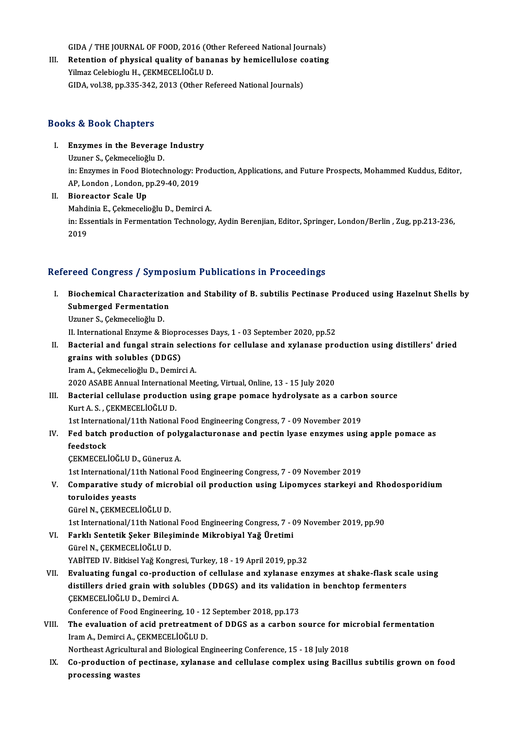GIDA / THE JOURNAL OF FOOD, 2016 (Other Refereed National Journals)<br>Referring of physical quality of bonones by bomicallyless sesting

GIDA / THE JOURNAL OF FOOD, 2016 (Other Refereed National Journals)<br>III. Retention of physical quality of bananas by hemicellulose coating<br>Vilmer Celebiach: H. CEKMECEL JOČLU D GIDA / THE JOURNAL OF FOOD, 2016 (Ot<br>Retention of physical quality of bana<br>Yilmaz Celebioglu H., ÇEKMECELİOĞLU D.<br>CIDA vel 38. np.325.342.3013 (Other Be Retention of physical quality of bananas by hemicellulose c<br>Yilmaz Celebioglu H., ÇEKMECELİOĞLU D.<br>GIDA, vol.38, pp.335-342, 2013 (Other Refereed National Journals) GIDA, vol.38, pp.335-342, 2013 (Other Refereed National Journals)<br>Books & Book Chapters

- ooks & Book Chapters<br>I. Enzymes in the Beverage Industry<br>Umper S. Colmosolieğlu D Enzymes in the Beverage<br>Uzuner S., Çekmecelioğlu D.<br>in: Enzymes in Eaad Bistack Enzymes in the Beverage Industry<br>Uzuner S., Çekmecelioğlu D.<br>in: Enzymes in Food Biotechnology: Production, Applications, and Future Prospects, Mohammed Kuddus, Editor,<br>AR Landan, Landan, pp.39.40, 2019. Uzuner S., Çekmecelioğlu D.<br>in: Enzymes in Food Biotechnology: P1<br>AP, London, London, pp.29-40, 2019<br>Bioreastor Ssale Un in: Enzymes in Food Biorce<br>AP, London , London, p<br>II. Bioreactor Scale Up<br>Mobdinia E, Colmosolia
- AP, London , London, pp.29-40, 2019<br>Bioreactor Scale Up<br>Mahdinia E., Çekmecelioğlu D., Demirci A.<br>in: Essentiale in Eormentation Technology II. Bioreactor Scale Up<br>Mahdinia E., Çekmecelioğlu D., Demirci A.<br>in: Essentials in Fermentation Technology, Aydin Berenjian, Editor, Springer, London/Berlin , Zug, pp.213-236,<br>2019 Mahdi<br>in: Ess<br>2019

### Refereed Congress / Symposium Publications in Proceedings

- I. Biochemical Characterization and Stability of B. subtilis Pectinase Produced using Hazelnut Shells by Submerged Fermentation<br>Submerged Fermentation<br>Uruner S. Colmosolioğlu D. Biochemical Characteriza<br>Submerged Fermentation<br>Uzuner S., Çekmecelioğlu D.<br>U. International Engume & B Submerged Fermentation<br>Uzuner S., Çekmecelioğlu D.<br>II. International Enzyme & Bioprocesses Days, 1 - 03 September 2020, pp.52<br>Besterial and fungel strain selections for sellulase and vulanese nre Uzuner S., Çekmecelioğlu D.<br>II. International Enzyme & Bioprocesses Days, 1 - 03 September 2020, pp.52<br>II. Bacterial and fungal strain selections for cellulase and xylanase production using distillers' dried<br> II. International Enzyme & Biopre<br>Bacterial and fungal strain se<br>grains with solubles (DDGS)<br>Iram A. Colrmesolioğlu D. Demir
- Bacterial and fungal strain select<br>grains with solubles (DDGS)<br>Iram A., Çekmecelioğlu D., Demirci A.<br>2020 ASAPE Annual International M grains with solubles (DDGS)<br>Iram A., Çekmecelioğlu D., Demirci A.<br>2020 ASABE Annual International Meeting, Virtual, Online, 13 - 15 July 2020<br>Besterial, sellulase anedustion using grane nemase budrelysete as a Iram A., Çekmecelioğlu D., Demirci A.<br>2020 ASABE Annual International Meeting, Virtual, Online, 13 - 15 July 2020<br>III. Bacterial cellulase production using grape pomace hydrolysate as a carbon source<br>Kurt A. S. , ÇEKMECELI
- 2020 ASABE Annual Internation<br>Bacterial cellulase producti<br>Kurt A. S. , ÇEKMECELİOĞLU D.<br>1st International (11th National Bacterial cellulase production using grape pomace hydrolysate as a carbo<br>Kurt A. S. , ÇEKMECELİOĞLU D.<br>1st International/11th National Food Engineering Congress, 7 - 09 November 2019<br>Eed bateb production of polygelastynane

Kurt A. S. , ÇEKMECELİOĞLU D.<br>1st International/11th National Food Engineering Congress, 7 - 09 November 2019<br>IV. Fed batch production of polygalacturonase and pectin lyase enzymes using apple pomace as<br>foodstack 1st Internat<br>Fed batch<br>feedstock<br>CEVMECEL Fed batch production of poly<br>feedstock<br>ÇEKMECELİOĞLU D., Güneruz A.<br>1st International (11th National I feedstock<br>ÇEKMECELİOĞLU D., Güneruz A.<br>1st International/11th National Food Engineering Congress, 7 - 09 November 2019

CEKMECELİOĞLU D., Güneruz A.<br>1st International/11th National Food Engineering Congress, 7 - 09 November 2019<br>1. Comparative study of microbial oil production using Lipomyces starkeyi and Rhodosporidium<br>1. torulaides veests toruloides yeasts<br>Gürel N., ÇEKMECELİOĞLU D. Comparative study of micr<br>toruloides yeasts<br>Gürel N., ÇEKMECELİOĞLU D.<br>1st International/11th Nation

1st International/11th National Food Engineering Congress, 7 - 09 November 2019, pp.90

- Gürel N., ÇEKMECELİOĞLU D.<br>1st International/11th National Food Engineering Congress, 7 (<br>VI. Farklı Sentetik Şeker Bileşiminde Mikrobiyal Yağ Üretimi<br>Gürel N. GEKMECELİOĞLU D. Farklı Sentetik Şeker Bileşiminde Mikrobiyal Yağ Üretimi<br>Gürel N., ÇEKMECELİOĞLU D.<br>YABİTED IV. Bitkisel Yağ Kongresi, Turkey, 18 - 19 April 2019, pp.32<br>Fyalusting fungal eo nrodugtion of sallulase and vylanase en
	- 1st International/11th Nation<br>Farklı Sentetik Şeker Bileş<br>Gürel N., ÇEKMECELİOĞLU D.<br>YABİTED IV. Bitlisel Yeğ Kons

Gürel N., ÇEKMECELİOĞLU D.<br>YABİTED IV. Bitkisel Yağ Kongresi, Turkey, 18 - 19 April 2019, pp.32<br>VII. Evaluating fungal co-production of cellulase and xylanase enzymes at shake-flask scale using<br>distillers dried grain w YABİTED IV. Bitkisel Yağ Kongresi, Turkey, 18 - 19 April 2019, pp.32<br>Evaluating fungal co-production of cellulase and xylanase enzymes at shake-flask scal<br>distillers dried grain with solubles (DDGS) and its validation in b Evaluating fungal co-produc<br>distillers dried grain with sc<br>CEKMECELİOĞLUD., Demirci A.<br>Conference of Eood Engineering distillers dried grain with solubles (DDGS) and its validation<br>CEKMECELIOGLU D., Demirci A.<br>Conference of Food Engineering, 10 - 12 September 2018, pp.173

CEKMECELIOĞLU D., Demirci A.<br>Conference of Food Engineering, 10 - 12 September 2018, pp.173<br>VIII. The evaluation of acid pretreatment of DDGS as a carbon source for microbial fermentation<br>Inom A. Demirci A. CEKMECELIOĞLU D Conference of Food Engineering, 10 - 12<br>The evaluation of acid pretreatmen<br>Iram A., Demirci A., ÇEKMECELİOĞLU D.<br>Nextbeest Asrisultural and Biological En The evaluation of acid pretreatment of DDGS as a carbon source for mi<br>Iram A., Demirci A., ÇEKMECELİOĞLU D.<br>Northeast Agricultural and Biological Engineering Conference, 15 - 18 July 2018<br>Co production of postinese, wylane

Iram A., Demirci A., ÇEKMECELİOĞLU D.<br>Northeast Agricultural and Biological Engineering Conference, 15 - 18 July 2018<br>IX. Co-production of pectinase, xylanase and cellulase complex using Bacillus subtilis grown on food Northeast Agricultur<br>Co-production of <sub>]</sub><br>processing wastes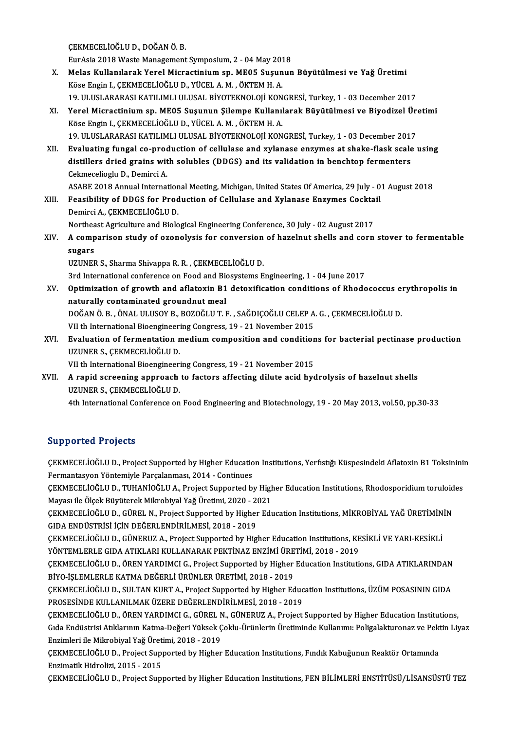ÇEKMECELİOĞLUD.,DOĞANÖ.B.

EurAsia 2018WasteManagementSymposium,2 -04May2018

- CEKMECELİOĞLU D., DOĞAN Ö. B.<br>EurAsia 2018 Waste Management Symposium, 2 04 May 2018<br>X. Melas Kullanılarak Yerel Micractinium sp. ME05 Suşunun Büyütülmesi ve Yağ Üretimi EurAsia 2018 Waste Management Symposium, 2 - 04 May 201<br>Melas Kullanılarak Yerel Micractinium sp. ME05 Suşun<br>Köse Engin I., ÇEKMECELİOĞLU D., YÜCEL A.M. , ÖKTEM H. A.<br>10 ULUSI ARARASI KATU IMLU ULISAL RİVOTEKNOLOJİ KON Köse Engin I., ÇEKMECELİOĞLU D., YÜCEL A. M. , ÖKTEM H. A.<br>19. ULUSLARARASI KATILIMLI ULUSAL BİYOTEKNOLOJİ KONGRESİ, Turkey, 1 - 03 December 2017
	-
- Köse Engin I., ÇEKMECELİOĞLU D., YÜCEL A. M. , ÖKTEM H. A.<br>19. ULUSLARARASI KATILIMLI ULUSAL BİYOTEKNOLOJİ KONGRESİ, Turkey, 1 03 December 2017<br>XI. Yerel Micractinium sp. ME05 Suşunun Şilempe Kullanılarak Büyütülmesi Köse Engin I., ÇEKMECELİOĞLU D., YÜCEL A. M. , ÖKTEM H. A.<br>19. ULUSLARARASI KATILIMLI ULUSAL BİYOTEKNOLOJİ KONGRESİ, Turkey, 1 - 03 December 2017 Yerel Micractinium sp. ME05 Suşunun Şilempe Kullanılarak Büyütülmesi ve Biyodizel Üre<br>Köse Engin I., ÇEKMECELİOĞLU D., YÜCEL A. M. , ÖKTEM H. A.<br>19. ULUSLARARASI KATILIMLI ULUSAL BİYOTEKNOLOJİ KONGRESİ, Turkey, 1 - 03 Dece
- XII. Evaluating fungal co-production of cellulase and xylanase enzymes at shake-flask scale using 19. ULUSLARARASI KATILIMLI ULUSAL BİYOTEKNOLOJİ KONGRESİ, Turkey, 1 - 03 December 201?<br>Evaluating fungal co-production of cellulase and xylanase enzymes at shake-flask scale<br>distillers dried grains with solubles (DDGS) and Evaluating fungal co-procelistillers dried grains with<br>Cekmecelioglu D., Demirci A.<br>ASAPE 2018 Annual Internat distillers dried grains with solubles (DDGS) and its validation in benchtop fermenters<br>Cekmecelioglu D., Demirci A.<br>ASABE 2018 Annual International Meeting, Michigan, United States Of America, 29 July - 01 August 2018<br>Fees

Cekmecelioglu D., Demirci A.<br>ASABE 2018 Annual International Meeting, Michigan, United States Of America, 29 July - 0<br>XIII. Feasibility of DDGS for Production of Cellulase and Xylanase Enzymes Cocktail<br>Demirci A. CEKMECELI ASABE 2018 Annual International Meeting, Michigan, United States Of America, 29 July - 01 August 2018<br>Feasibility of DDGS for Production of Cellulase and Xylanase Enzymes Cocktail<br>Demirci A., ÇEKMECELİOĞLU D. Feasibility of DDGS for Production of Cellulase and Xylanase Enzymes Cockta<br>Demirci A., ÇEKMECELİOĞLU D.<br>Northeast Agriculture and Biological Engineering Conference, 30 July - 02 August 2017<br>A semponison study of esenelysi

Demirci A., ÇEKMECELİOĞLU D.<br>Northeast Agriculture and Biological Engineering Conference, 30 July - 02 August 2017<br>XIV. A comparison study of ozonolysis for conversion of hazelnut shells and corn stover to fermentable<br> Northeast Agriculture and Biological Engineering Conference, 30 July - 02 August 2017<br>A comparison study of ozonolysis for conversion of hazelnut shells and corn<br>sugars<br>UZUNER S., Sharma Shivappa R. R. , CEKMECELIOĞLU D. A comparison study of ozonolysis for conversion<br>sugars<br>UZUNER S., Sharma Shivappa R. R. , ÇEKMECELİOĞLU D.<br><sup>2nd</sup> International conference en Eeod and Bioquateme E

3rd International conference on Food and Biosystems Engineering, 1 - 04 June 2017

UZUNER S., Sharma Shivappa R. R. , ÇEKMECELİOĞLU D.<br>3rd International conference on Food and Biosystems Engineering, 1 - 04 June 2017<br>XV. Optimization of growth and aflatoxin B1 detoxification conditions of Rhodococcus 3rd International conference on Food and Bio<br>Optimization of growth and aflatoxin B1<br>naturally contaminated groundnut meal<br>DOČAN Ö BLÖNALULUSOV B-BOZOČLUT L Optimization of growth and aflatoxin B1 detoxification conditions of Rhodococcus explored at the form of the distribution of the pattern process and position in the position of the position of the position of the position naturally contaminated groundnut meal<br>DOĞAN Ö. B. , ÖNAL ULUSOY B., BOZOĞLU T. F. , SAĞDIÇOĞLU CELEP A<br>VII th International Bioengineering Congress, 19 - 21 November 2015<br>Evaluation of formantation medium composition and c

- 
- DOĞAN Ö. B. , ÖNAL ULUSOY B., BOZOĞLU T. F. , SAĞDIÇOĞLU CELEP A. G. , ÇEKMECELİOĞLU D.<br>VII th International Bioengineering Congress, 19 21 November 2015<br>XVI. Evaluation of fermentation medium composition and conditi VII th International Bioengineeri<br>Evaluation of fermentation n<br>UZUNER S., ÇEKMECELİOĞLU D.<br>VII th International Bioengineeri Evaluation of fermentation medium composition and condition<br>UZUNER S., ÇEKMECELİOĞLU D.<br>VII th International Bioengineering Congress, 19 - 21 November 2015<br>A rapid sereening approach to fasters effecting dilute asid by

VII th International Bioengineering Congress, 19 - 21 November 2015

UZUNER S., ÇEKMECELİOĞLU D.<br>VII th International Bioengineering Congress, 19 - 21 November 2015<br>XVII. A rapid screening approach to factors affecting dilute acid hydrolysis of hazelnut shells<br>UZUNER S., ÇEKMECELİOĞLU D

4th International Conference on Food Engineering and Biotechnology, 19 - 20 May 2013, vol.50, pp.30-33

## Supported Projects

Supported Projects<br>ÇEKMECELİOĞLU D., Project Supported by Higher Education Institutions, Yerfıstığı Küspesindeki Aflatoxin B1 Toksininin<br>Fermantasyon Vöntemiyle Perselanması, 2014, "Centinuss Supporteur rrojects<br>CEKMECELİOĞLU D., Project Supported by Higher Educatio<br>Fermantasyon Yöntemiyle Parçalanması, 2014 - Continues<br>CEKMECELİOĞLU D., TUHANİOĞLU A., Project Supported b ÇEKMECELİOĞLU D., Project Supported by Higher Education Institutions, Yerfistığı Küspesindeki Aflatoxin B1 Toksinini<br>Fermantasyon Yöntemiyle Parçalanması, 2014 - Continues<br>ÇEKMECELİOĞLU D., TUHANİOĞLU A., Project Supported

Fermantasyon Yöntemiyle Parçalanması, 2014 - Continues<br>ÇEKMECELİOĞLU D., TUHANİOĞLU A., Project Supported by High<br>Mayası ile Ölçek Büyüterek Mikrobiyal Yağ Üretimi, 2020 - 2021<br>CEKMECELİOĞLU D. CÜREL N. Project Supported b ÇEKMECELİOĞLU D., TUHANİOĞLU A., Project Supported by Higher Education Institutions, Rhodosporidium toruloid<br>Mayası ile Ölçek Büyüterek Mikrobiyal Yağ Üretimi, 2020 - 2021<br>ÇEKMECELİOĞLU D., GÜREL N., Project Supported by H

Mayası ile Ölçek Büyüterek Mikrobiyal Yağ Üretimi, 2020 - 2021<br>ÇEKMECELİOĞLU D., GÜREL N., Project Supported by Higher Education Institutions, MİKROBİYAL YAĞ ÜRETİMİNİN<br>GIDA ENDÜSTRİSİ İÇİN DEĞERLENDİRİLMESİ, 2018 - 2019 ÇEKMECELİOĞLU D., GÜREL N., Project Supported by Higher Education Institutions, MİKROBİYAL YAĞ ÜRETİMİN<br>GIDA ENDÜSTRİSİ İÇİN DEĞERLENDİRİLMESİ, 2018 - 2019<br>ÇEKMECELİOĞLU D., GÜNERUZ A., Project Supported by Higher Educatio

GIDA ENDÜSTRİSİ İÇİN DEĞERLENDİRİLMESİ, 2018 - 2019<br>ÇEKMECELİOĞLU D., GÜNERUZ A., Project Supported by Higher Education Institutions, KE<br>YÖNTEMLERLE GIDA ATIKLARI KULLANARAK PEKTİNAZ ENZİMİ ÜRETİMİ, 2018 - 2019<br>CEKMECELİOĞ ÇEKMECELİOĞLU D., GÜNERUZ A., Project Supported by Higher Education Institutions, KESİKLİ VE YARI-KESİKLİ<br>YÖNTEMLERLE GIDA ATIKLARI KULLANARAK PEKTİNAZ ENZİMİ ÜRETİMİ, 2018 - 2019<br>ÇEKMECELİOĞLU D., ÖREN YARDIMCI G., Projec

YÖNTEMLERLE GIDA ATIKLARI KULLANARAK PEKTİNAZ ENZİMİ ÜRE<br>ÇEKMECELİOĞLU D., ÖREN YARDIMCI G., Project Supported by Higher<br>BİYO-İŞLEMLERLE KATMA DEĞERLİ ÜRÜNLER ÜRETİMİ, 2018 - 2019<br>CEKMECELİOĞLU D. SIJLTAN KUPT A. Project S ÇEKMECELİOĞLU D., ÖREN YARDIMCI G., Project Supported by Higher Education Institutions, GIDA ATIKLARINDAN<br>BİYO-İŞLEMLERLE KATMA DEĞERLİ ÜRÜNLER ÜRETİMİ, 2018 - 2019<br>ÇEKMECELİOĞLU D., SULTAN KURT A., Project Supported by Hi

BİYO-İŞLEMLERLE KATMA DEĞERLİ ÜRÜNLER ÜRETİMİ, 2018 - 2019<br>ÇEKMECELİOĞLU D., SULTAN KURT A., Project Supported by Higher Education Institutions, ÜZÜM POSASININ GIDA<br>PROSESİNDE KULLANILMAK ÜZERE DEĞERLENDİRİLMESİ, 2018 - 20

ÇEKMECELİOĞLU D., ÖREN YARDIMCI G., GÜREL N., GÜNERUZ A., Project Supported by Higher Education Institutions, PROSESİNDE KULLANILMAK ÜZERE DEĞERLENDİRİLMESİ, 2018 - 2019<br>ÇEKMECELİOĞLU D., ÖREN YARDIMCI G., GÜREL N., GÜNERUZ A., Project Supported by Higher Education Institutions,<br>Gıda Endüstrisi Atıklarının Katma-Değeri Yüksek Çokl ÇEKMECELİOĞLU D., ÖREN YARDIMCI G., GÜREL N<br>Gıda Endüstrisi Atıklarının Katma-Değeri Yüksek Ç<br>Enzimleri ile Mikrobiyal Yağ Üretimi, 2018 - 2019<br>CEKMECELİOĞLU D. Project Sunnerted bu Hisber Gıda Endüstrisi Atıklarının Katma-Değeri Yüksek Çoklu-Ürünlerin Üretiminde Kullanımı: Poligalakturonaz ve Pekt<br>Enzimleri ile Mikrobiyal Yağ Üretimi, 2018 - 2019<br>ÇEKMECELİOĞLU D., Project Supported by Higher Education Insti

Enzimleri ile Mikrobiyal Yağ Üret<br>ÇEKMECELİOĞLU D., Project Sup<sub>l</sub><br>Enzimatik Hidrolizi, 2015 - 2015<br>CEKMECELİOĞLU D. Project Supl

Enzimatik Hidrolizi, 2015 - 2015<br>ÇEKMECELİOĞLU D., Project Supported by Higher Education Institutions, FEN BİLİMLERİ ENSTİTÜSÜ/LİSANSÜSTÜ TEZ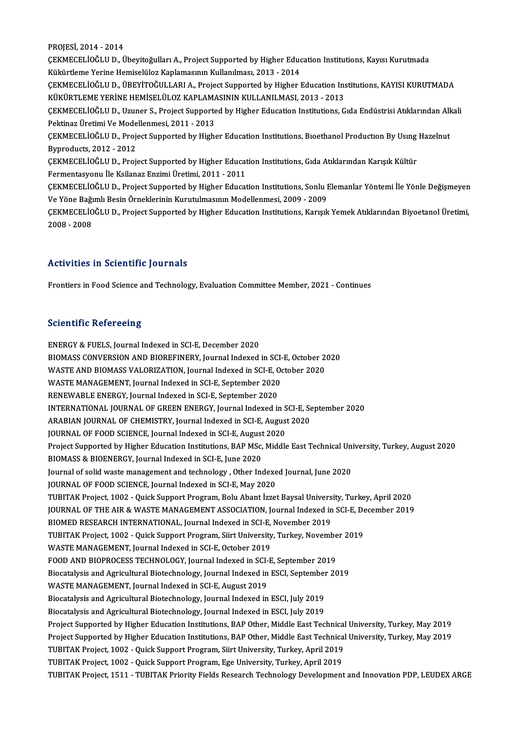PROJESİ,2014 -2014

PROJESİ, 2014 - 2014<br>ÇEKMECELİOĞLU D., Übeyitoğulları A., Project Supported by Higher Education Institutions, Kayısı Kurutmada<br>Kültürtleme Yerine Hemiselüler Kaplamasının Kullanılması, 2012 - 2014 PROJESİ, 2014 - 2014<br>ÇEKMECELİOĞLU D., Übeyitoğulları A., Project Supported by Higher Educ<br>Kükürtleme Yerine Hemiselüloz Kaplamasının Kullanılması, 2013 - 2014<br>CEKMECELİOĞLU D., ÜREVİTOĞULLARLA, Project Supported bu Higher ÇEKMECELİOĞLU D., Übeyitoğulları A., Project Supported by Higher Education Institutions, Kayısı Kurutmada<br>Kükürtleme Yerine Hemiselüloz Kaplamasının Kullanılması, 2013 - 2014<br>ÇEKMECELİOĞLU D., ÜBEYİTOĞULLARI A., Project Su Kükürtleme Yerine Hemiselüloz Kaplamasının Kullanılması, 2013 - 2014<br>ÇEKMECELİOĞLU D., ÜBEYİTOĞULLARI A., Project Supported by Higher Education Ins<br>KÜKÜRTLEME YERİNE HEMİSELÜLOZ KAPLAMASININ KULLANILMASI, 2013 - 2013<br>CEKME ÇEKMECELİOĞLU D., ÜBEYİTOĞULLARI A., Project Supported by Higher Education Institutions, KAYISI KURUTMADA<br>KÜKÜRTLEME YERİNE HEMİSELÜLOZ KAPLAMASININ KULLANILMASI, 2013 - 2013<br>ÇEKMECELİOĞLU D., Uzuner S., Project Supported KÜKÜRTLEME YERİNE HEMİSELÜLOZ KAPLAMASININ KULLANILMASI, 2013 - 2013<br>ÇEKMECELİOĞLU D., Uzuner S., Project Supported by Higher Education Institutions, Gıda Endüstrisi Atıklarından All<br>Pektinaz Üretimi Ve Modellenmesi, 2011 ÇEKMECELİOĞLU D., Uzuner S., Project Supported by Higher Education Institutions, Gıda Endüstrisi Atıklarından All<br>Pektinaz Üretimi Ve Modellenmesi, 2011 - 2013<br>ÇEKMECELİOĞLU D., Project Supported by Higher Education Instit Pektinaz Üretimi Ve Modellenmesi, 2011 - 2013<br>ÇEKMECELİOĞLU D., Project Supported by High<br>Byproducts, 2012 - 2012 ÇEKMECELİOĞLU D., Project Supported by Higher Education Institutions, Bıoethanol Production By Using<br>Byproducts, 2012 - 2012<br>ÇEKMECELİOĞLU D., Project Supported by Higher Education Institutions, Gıda Atıklarından Karışık K Byproducts, 2012 - 2012<br>ÇEKMECELİOĞLU D., Project Supported by Higher Educat<br>Fermentasyonu İle Ksilanaz Enzimi Üretimi, 2011 - 2011<br>CEKMECELİOĞLU D., Project Supported by Higher Educat ÇEKMECELİOĞLU D., Project Supported by Higher Education Institutions, Gıda Atıklarından Karışık Kültür<br>Fermentasyonu İle Ksilanaz Enzimi Üretimi, 2011 - 2011<br>ÇEKMECELİOĞLU D., Project Supported by Higher Education Institut Fermentasyonu İle Ksilanaz Enzimi Üretimi, 2011 - 2011<br>ÇEKMECELİOĞLU D., Project Supported by Higher Education Institutions, Sonlu Elemanlar Yöntemi İle Yönle Değişmeyen<br>Ve Yöne Bağımlı Besin Örneklerinin Kurutulmasının Mo ÇEKMECELİOĞLU D., Project Supported by Higher Education Institutions, Sonlu Elemanlar Yöntemi İle Yönle Değişmeyen<br>Ve Yöne Bağımlı Besin Örneklerinin Kurutulmasının Modellenmesi, 2009 - 2009<br>ÇEKMECELİOĞLU D., Project Suppo Ve Yöne Bağı<br>ÇEKMECELİO<br>2008 - 2008 Activities in Scientific Journals

Frontiers in Food Science and Technology, Evaluation Committee Member, 2021 - Continues

### **Scientific Refereeing**

ENERGY & FUELS, Journal Indexed in SCI-E, December 2020 BIOMASS CONVERSION AND BIOREFINERY, Journal Indexed in SCI-E, October 2020 ENERGY & FUELS, Journal Indexed in SCI-E, December 2020<br>BIOMASS CONVERSION AND BIOREFINERY, Journal Indexed in SCI-E, October 2<br>WASTE AND BIOMASS VALORIZATION, Journal Indexed in SCI-E, October 2020<br>WASTE MANACEMENT, Journ BIOMASS CONVERSION AND BIOREFINERY, Journal Indexed in SCI-WASTE AND BIOMASS VALORIZATION, Journal Indexed in SCI-E, O<br>WASTE MANAGEMENT, Journal Indexed in SCI-E, September 2020<br>RENEWABLE ENERCY, Journal Indexed in SCI-E, WASTE MANAGEMENT, Journal Indexed in SCI-E, September 2020<br>RENEWABLE ENERGY, Journal Indexed in SCI-E, September 2020 INTERNATIONAL JOURNAL OF GREEN ENERGY, Journal Indexed in SCI-E, September 2020 RENEWABLE ENERGY, Journal Indexed in SCI-E, September 2020<br>INTERNATIONAL JOURNAL OF GREEN ENERGY, Journal Indexed in SCI-E, Se<br>ARABIAN JOURNAL OF CHEMISTRY, Journal Indexed in SCI-E, August 2020<br>JOURNAL OF FOOD SCIENCE Jou INTERNATIONAL JOURNAL OF GREEN ENERGY, Journal Indexed in S<br>ARABIAN JOURNAL OF CHEMISTRY, Journal Indexed in SCI-E, August<br>JOURNAL OF FOOD SCIENCE, Journal Indexed in SCI-E, August 2020<br>Preject Sunnerted by Higher Educatio ARABIAN JOURNAL OF CHEMISTRY, Journal Indexed in SCI-E, August 2020<br>JOURNAL OF FOOD SCIENCE, Journal Indexed in SCI-E, August 2020<br>Project Supported by Higher Education Institutions, BAP MSc, Middle East Technical Universi JOURNAL OF FOOD SCIENCE, Journal Indexed in SCI-E, August<br>Project Supported by Higher Education Institutions, BAP MSc,<br>BIOMASS & BIOENERGY, Journal Indexed in SCI-E, June 2020<br>Journal of solid waste management and toshnolo Project Supported by Higher Education Institutions, BAP MSc, Middle East Technical Un<br>BIOMASS & BIOENERGY, Journal Indexed in SCI-E, June 2020<br>Journal of solid waste management and technology , Other Indexed Journal, June BIOMASS & BIOENERGY, Journal Indexed in SCI-E, June 2020<br>Journal of solid waste management and technology , Other Indexe<br>JOURNAL OF FOOD SCIENCE, Journal Indexed in SCI-E, May 2020<br>TUBITAK Broject, 1002 , Quick Sunnort Bro Journal of solid waste management and technology , Other Indexed Journal, June 2020<br>JOURNAL OF FOOD SCIENCE, Journal Indexed in SCI-E, May 2020<br>TUBITAK Project, 1002 - Quick Support Program, Bolu Abant İzzet Baysal Univers JOURNAL OF FOOD SCIENCE, Journal Indexed in SCI-E, May 2020<br>TUBITAK Project, 1002 - Quick Support Program, Bolu Abant İzzet Baysal University, Turkey, April 2020<br>JOURNAL OF THE AIR & WASTE MANAGEMENT ASSOCIATION, Journal I TUBITAK Project, 1002 - Quick Support Program, Bolu Abant İzzet Baysal Univers<br>JOURNAL OF THE AIR & WASTE MANAGEMENT ASSOCIATION, Journal Indexed in<br>BIOMED RESEARCH INTERNATIONAL, Journal Indexed in SCI-E, November 2019<br>TU JOURNAL OF THE AIR & WASTE MANAGEMENT ASSOCIATION, Journal Indexed in SCI-E, De<br>BIOMED RESEARCH INTERNATIONAL, Journal Indexed in SCI-E, November 2019<br>TUBITAK Project, 1002 - Quick Support Program, Siirt University, Turkey BIOMED RESEARCH INTERNATIONAL, Journal Indexed in SCI-E,<br>TUBITAK Project, 1002 - Quick Support Program, Siirt University<br>WASTE MANAGEMENT, Journal Indexed in SCI-E, October 2019<br>FOOD AND PIOPPOCESS TECHNOLOCY, Journal Inde TUBITAK Project, 1002 - Quick Support Program, Siirt University, Turkey, November<br>WASTE MANAGEMENT, Journal Indexed in SCI-E, October 2019<br>FOOD AND BIOPROCESS TECHNOLOGY, Journal Indexed in SCI-E, September 2019<br>Biosatalys WASTE MANAGEMENT, Journal Indexed in SCI-E, October 2019<br>FOOD AND BIOPROCESS TECHNOLOGY, Journal Indexed in SCI-E, September 2019<br>Biocatalysis and Agricultural Biotechnology, Journal Indexed in ESCI, September 2019<br>WASTE M FOOD AND BIOPROCESS TECHNOLOGY, Journal Indexed in SCI-<br>Biocatalysis and Agricultural Biotechnology, Journal Indexed in<br>WASTE MANAGEMENT, Journal Indexed in SCI-E, August 2019<br>Biocatalysis and Agricultural Biotechnology, J Biocatalysis and Agricultural Biotechnology, Journal Indexed in ESCI, September<br>WASTE MANAGEMENT, Journal Indexed in SCI-E, August 2019<br>Biocatalysis and Agricultural Biotechnology, Journal Indexed in ESCI, July 2019<br>Biocat WASTE MANAGEMENT, Journal Indexed in SCI-E, August 2019<br>Biocatalysis and Agricultural Biotechnology, Journal Indexed in ESCI, July 2019<br>Biocatalysis and Agricultural Biotechnology, Journal Indexed in ESCI, July 2019 Biocatalysis and Agricultural Biotechnology, Journal Indexed in ESCI, July 2019<br>Biocatalysis and Agricultural Biotechnology, Journal Indexed in ESCI, July 2019<br>Project Supported by Higher Education Institutions, BAP Other, Biocatalysis and Agricultural Biotechnology, Journal Indexed in ESCI, July 2019<br>Project Supported by Higher Education Institutions, BAP Other, Middle East Technical University, Turkey, May 2019<br>Project Supported by Higher Project Supported by Higher Education Institutions, BAP Other, Middle East Technical<br>Project Supported by Higher Education Institutions, BAP Other, Middle East Technical<br>TUBITAK Project, 1002 - Quick Support Program, Siirt Project Supported by Higher Education Institutions, BAP Other, Middle East Technica<br>TUBITAK Project, 1002 - Quick Support Program, Siirt University, Turkey, April 2019<br>TUBITAK Project, 1002 - Quick Support Program, Ege Uni TUBITAK Project, 1002 - Quick Support Program, Ege University, Turkey, April 2019<br>TUBITAK Project, 1511 - TUBITAK Priority Fields Research Technology Development and Innovation PDP, LEUDEX ARGE